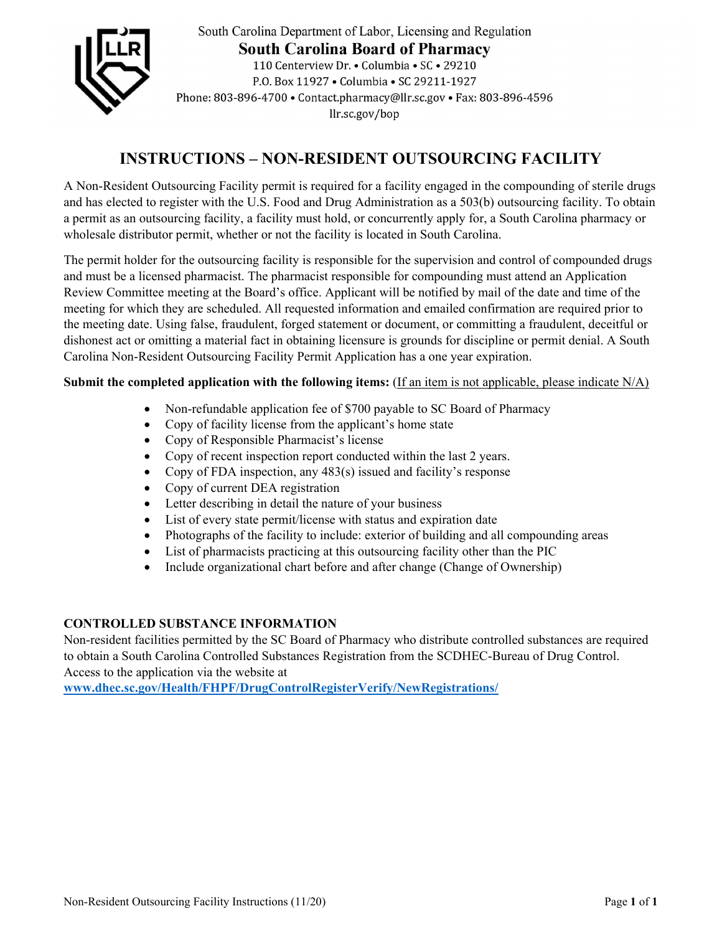

South Carolina Department of Labor, Licensing and Regulation **South Carolina Board of Pharmacy** 110 Centerview Dr. . Columbia . SC . 29210 P.O. Box 11927 . Columbia . SC 29211-1927 Phone: 803-896-4700 · Contact.pharmacy@llr.sc.gov · Fax: 803-896-4596 llr.sc.gov/bop

# **INSTRUCTIONS – NON-RESIDENT OUTSOURCING FACILITY**

A Non-Resident Outsourcing Facility permit is required for a facility engaged in the compounding of sterile drugs and has elected to register with the U.S. Food and Drug Administration as a 503(b) outsourcing facility. To obtain a permit as an outsourcing facility, a facility must hold, or concurrently apply for, a South Carolina pharmacy or wholesale distributor permit, whether or not the facility is located in South Carolina.

The permit holder for the outsourcing facility is responsible for the supervision and control of compounded drugs and must be a licensed pharmacist. The pharmacist responsible for compounding must attend an Application Review Committee meeting at the Board's office. Applicant will be notified by mail of the date and time of the meeting for which they are scheduled. All requested information and emailed confirmation are required prior to the meeting date. Using false, fraudulent, forged statement or document, or committing a fraudulent, deceitful or dishonest act or omitting a material fact in obtaining licensure is grounds for discipline or permit denial. A South Carolina Non-Resident Outsourcing Facility Permit Application has a one year expiration.

# **Submit the completed application with the following items:** (If an item is not applicable, please indicate N/A)

- Non-refundable application fee of \$700 payable to SC Board of Pharmacy
- Copy of facility license from the applicant's home state
- Copy of Responsible Pharmacist's license
- Copy of recent inspection report conducted within the last 2 years.
- Copy of FDA inspection, any 483(s) issued and facility's response
- Copy of current DEA registration
- Letter describing in detail the nature of your business
- List of every state permit/license with status and expiration date
- Photographs of the facility to include: exterior of building and all compounding areas
- List of pharmacists practicing at this outsourcing facility other than the PIC
- Include organizational chart before and after change (Change of Ownership)

## **CONTROLLED SUBSTANCE INFORMATION**

Non-resident facilities permitted by the SC Board of Pharmacy who distribute controlled substances are required to obtain a South Carolina Controlled Substances Registration from the SCDHEC-Bureau of Drug Control. Access to the application via the website at

**www.dhec.sc.gov/Health/FHPF/DrugControlRegisterVerify/NewRegistrations/**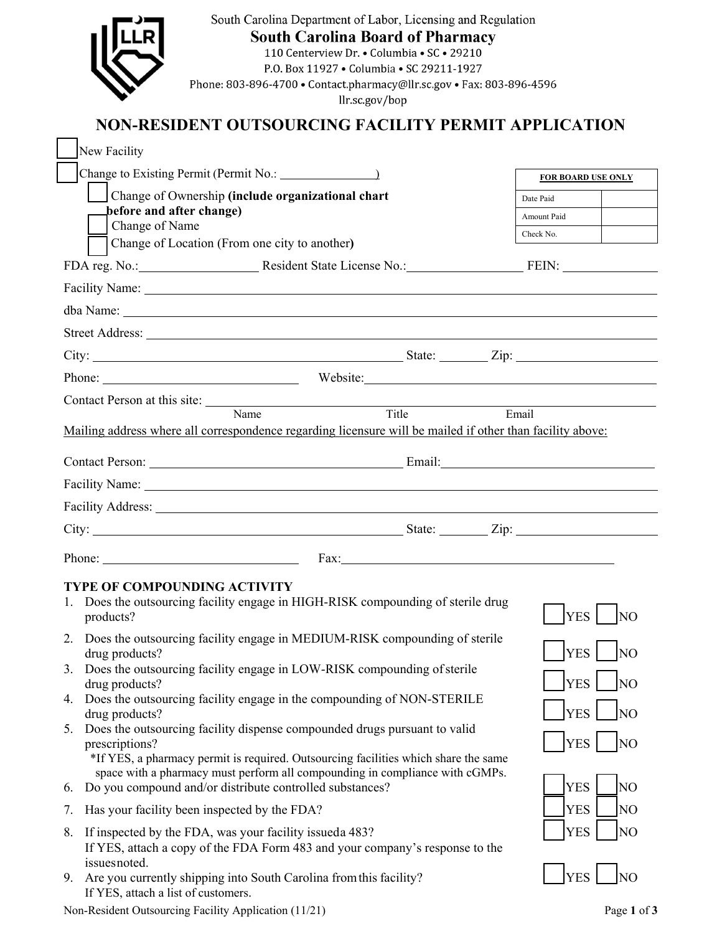|                                                                                                                                                               | South Carolina Department of Labor, Licensing and Regulation<br><b>South Carolina Board of Pharmacy</b><br>110 Centerview Dr. • Columbia • SC • 29210<br>P.O. Box 11927 . Columbia . SC 29211-1927<br>Phone: 803-896-4700 · Contact.pharmacy@llr.sc.gov · Fax: 803-896-4596<br>llr.sc.gov/bop |                           |                |  |  |  |  |  |
|---------------------------------------------------------------------------------------------------------------------------------------------------------------|-----------------------------------------------------------------------------------------------------------------------------------------------------------------------------------------------------------------------------------------------------------------------------------------------|---------------------------|----------------|--|--|--|--|--|
|                                                                                                                                                               | NON-RESIDENT OUTSOURCING FACILITY PERMIT APPLICATION                                                                                                                                                                                                                                          |                           |                |  |  |  |  |  |
|                                                                                                                                                               | New Facility                                                                                                                                                                                                                                                                                  |                           |                |  |  |  |  |  |
|                                                                                                                                                               | Change to Existing Permit (Permit No.: \[ \]                                                                                                                                                                                                                                                  | <b>FOR BOARD USE ONLY</b> |                |  |  |  |  |  |
|                                                                                                                                                               | Change of Ownership (include organizational chart                                                                                                                                                                                                                                             | Date Paid                 |                |  |  |  |  |  |
|                                                                                                                                                               | before and after change)<br>Change of Name                                                                                                                                                                                                                                                    | Amount Paid               |                |  |  |  |  |  |
|                                                                                                                                                               | Change of Location (From one city to another)                                                                                                                                                                                                                                                 | Check No.                 |                |  |  |  |  |  |
|                                                                                                                                                               | FDA reg. No.: Resident State License No.: FEIN:                                                                                                                                                                                                                                               |                           |                |  |  |  |  |  |
|                                                                                                                                                               |                                                                                                                                                                                                                                                                                               |                           |                |  |  |  |  |  |
|                                                                                                                                                               |                                                                                                                                                                                                                                                                                               |                           |                |  |  |  |  |  |
|                                                                                                                                                               |                                                                                                                                                                                                                                                                                               |                           |                |  |  |  |  |  |
|                                                                                                                                                               |                                                                                                                                                                                                                                                                                               |                           |                |  |  |  |  |  |
|                                                                                                                                                               |                                                                                                                                                                                                                                                                                               |                           |                |  |  |  |  |  |
|                                                                                                                                                               | Contact Person at this site: Name                                                                                                                                                                                                                                                             | Email                     |                |  |  |  |  |  |
|                                                                                                                                                               | Mailing address where all correspondence regarding licensure will be mailed if other than facility above:                                                                                                                                                                                     |                           |                |  |  |  |  |  |
|                                                                                                                                                               |                                                                                                                                                                                                                                                                                               |                           |                |  |  |  |  |  |
|                                                                                                                                                               |                                                                                                                                                                                                                                                                                               |                           |                |  |  |  |  |  |
|                                                                                                                                                               | Facility Address: National Address: National Address: National Address: National Address: National Address: National Address: National Address: National Address: National Address: National Address: National Address: Nation                                                                |                           |                |  |  |  |  |  |
|                                                                                                                                                               |                                                                                                                                                                                                                                                                                               |                           |                |  |  |  |  |  |
|                                                                                                                                                               | Fax:                                                                                                                                                                                                                                                                                          |                           |                |  |  |  |  |  |
| TYPE OF COMPOUNDING ACTIVITY<br>1. Does the outsourcing facility engage in HIGH-RISK compounding of sterile drug<br><b>YES</b><br>products?<br>N <sub>O</sub> |                                                                                                                                                                                                                                                                                               |                           |                |  |  |  |  |  |
|                                                                                                                                                               | 2. Does the outsourcing facility engage in MEDIUM-RISK compounding of sterile                                                                                                                                                                                                                 |                           |                |  |  |  |  |  |
|                                                                                                                                                               | <b>YES</b><br>NO<br>drug products?<br>3. Does the outsourcing facility engage in LOW-RISK compounding of sterile                                                                                                                                                                              |                           |                |  |  |  |  |  |
|                                                                                                                                                               | <b>YES</b><br><b>NO</b><br>drug products?<br>4. Does the outsourcing facility engage in the compounding of NON-STERILE                                                                                                                                                                        |                           |                |  |  |  |  |  |
|                                                                                                                                                               | drug products?                                                                                                                                                                                                                                                                                | <b>YES</b>                | <b>NO</b>      |  |  |  |  |  |
|                                                                                                                                                               | 5. Does the outsourcing facility dispense compounded drugs pursuant to valid<br><b>YES</b><br>prescriptions?<br>N <sub>O</sub><br>*If YES, a pharmacy permit is required. Outsourcing facilities which share the same                                                                         |                           |                |  |  |  |  |  |
| 6.                                                                                                                                                            | space with a pharmacy must perform all compounding in compliance with cGMPs.<br>Do you compound and/or distribute controlled substances?                                                                                                                                                      | <b>YES</b>                | N <sub>O</sub> |  |  |  |  |  |
| 7.                                                                                                                                                            | Has your facility been inspected by the FDA?                                                                                                                                                                                                                                                  | <b>YES</b>                | N <sub>O</sub> |  |  |  |  |  |
| 8.                                                                                                                                                            | If inspected by the FDA, was your facility issueda 483?<br>If YES, attach a copy of the FDA Form 483 and your company's response to the                                                                                                                                                       | <b>YES</b>                | NO             |  |  |  |  |  |
|                                                                                                                                                               | issuesnoted.<br>9. Are you currently shipping into South Carolina from this facility?<br>If YES, attach a list of customers.                                                                                                                                                                  | <b>YES</b>                |                |  |  |  |  |  |

Non-Resident Outsourcing Facility Application (11/21) Page **1** of **3**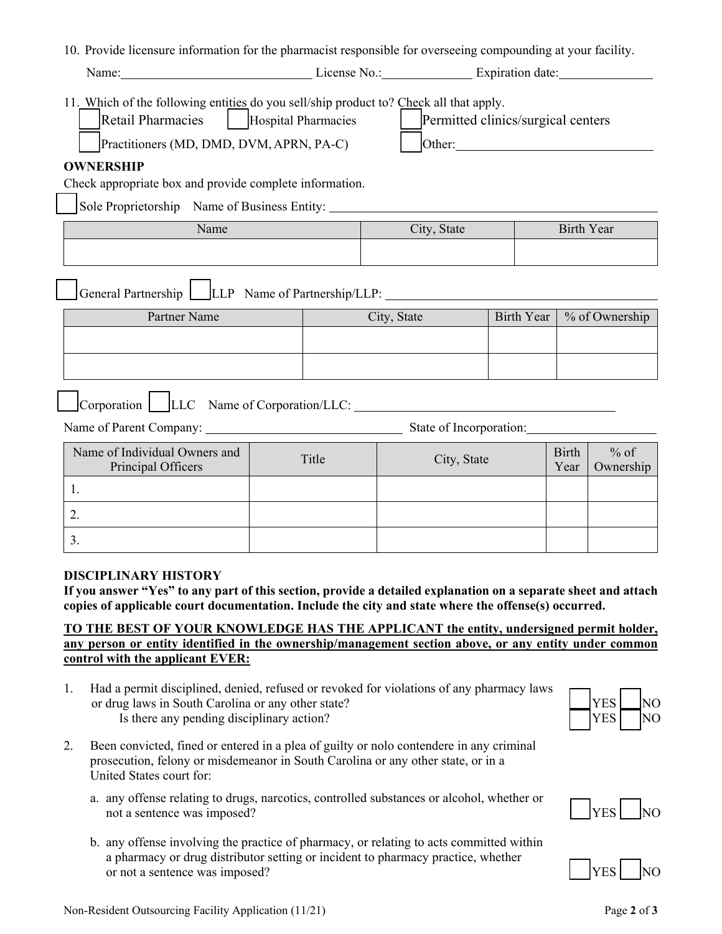|  |  |  |  | 10. Provide licensure information for the pharmacist responsible for overseeing compounding at your facility. |  |
|--|--|--|--|---------------------------------------------------------------------------------------------------------------|--|
|  |  |  |  |                                                                                                               |  |

| го. 1 готае нескваге шюгнанон юг ие рнатнаскя гезровное юг отсквеств сотроананд ас убаг наспер.                                                                             |                            |             |                                                                                                                                                                                                                                                                     |                   |                      |                     |  |  |
|-----------------------------------------------------------------------------------------------------------------------------------------------------------------------------|----------------------------|-------------|---------------------------------------------------------------------------------------------------------------------------------------------------------------------------------------------------------------------------------------------------------------------|-------------------|----------------------|---------------------|--|--|
| Name: No.: Expiration date: No.: Expiration date:                                                                                                                           |                            |             |                                                                                                                                                                                                                                                                     |                   |                      |                     |  |  |
| 11. Which of the following entities do you sell/ship product to? Check all that apply.<br>Retail Pharmacies<br>Practitioners (MD, DMD, DVM, APRN, PA-C)<br><b>OWNERSHIP</b> | <b>Hospital Pharmacies</b> |             | Permitted clinics/surgical centers<br>Other: 2008 Communication of the Communication of the Communication of the Communication of the Communication of the Communication of the Communication of the Communication of the Communication of the Communication of the |                   |                      |                     |  |  |
| Check appropriate box and provide complete information.                                                                                                                     |                            |             |                                                                                                                                                                                                                                                                     |                   |                      |                     |  |  |
| Sole Proprietorship Name of Business Entity:                                                                                                                                |                            |             |                                                                                                                                                                                                                                                                     |                   |                      |                     |  |  |
| Name                                                                                                                                                                        |                            | City, State |                                                                                                                                                                                                                                                                     | <b>Birth Year</b> |                      |                     |  |  |
|                                                                                                                                                                             |                            |             |                                                                                                                                                                                                                                                                     |                   |                      |                     |  |  |
| General Partnership   LLP Name of Partnership/LLP: _____________________________                                                                                            |                            |             |                                                                                                                                                                                                                                                                     |                   |                      |                     |  |  |
| Partner Name                                                                                                                                                                |                            | City, State |                                                                                                                                                                                                                                                                     | <b>Birth Year</b> |                      | % of Ownership      |  |  |
|                                                                                                                                                                             |                            |             |                                                                                                                                                                                                                                                                     |                   |                      |                     |  |  |
|                                                                                                                                                                             |                            |             |                                                                                                                                                                                                                                                                     |                   |                      |                     |  |  |
|                                                                                                                                                                             |                            |             |                                                                                                                                                                                                                                                                     |                   |                      |                     |  |  |
| State of Incorporation:                                                                                                                                                     |                            |             |                                                                                                                                                                                                                                                                     |                   |                      |                     |  |  |
| Name of Individual Owners and<br>Principal Officers                                                                                                                         | Title                      | City, State |                                                                                                                                                                                                                                                                     |                   | <b>Birth</b><br>Year | $%$ of<br>Ownership |  |  |
| 1.                                                                                                                                                                          |                            |             |                                                                                                                                                                                                                                                                     |                   |                      |                     |  |  |
| 2.                                                                                                                                                                          |                            |             |                                                                                                                                                                                                                                                                     |                   |                      |                     |  |  |
| 3.                                                                                                                                                                          |                            |             |                                                                                                                                                                                                                                                                     |                   |                      |                     |  |  |

#### **DISCIPLINARY HISTORY**

**If you answer "Yes" to any part of this section, provide a detailed explanation on a separate sheet and attach copies of applicable court documentation. Include the city and state where the offense(s) occurred.** 

## **TO THE BEST OF YOUR KNOWLEDGE HAS THE APPLICANT the entity, undersigned permit holder, any person or entity identified in the ownership/management section above, or any entity under common control with the applicant EVER:**

- 1. Had a permit disciplined, denied, refused or revoked for violations of any pharmacy laws or drug laws in South Carolina or any other state? Is there any pending disciplinary action?
- 2. Been convicted, fined or entered in a plea of guilty or nolo contendere in any criminal prosecution, felony or misdemeanor in South Carolina or any other state, or in a United States court for:
	- a. any offense relating to drugs, narcotics, controlled substances or alcohol, whether or not a sentence was imposed?  $|YES|$
	- b. any offense involving the practice of pharmacy, or relating to acts committed within a pharmacy or drug distributor setting or incident to pharmacy practice, whether or not a sentence was imposed?